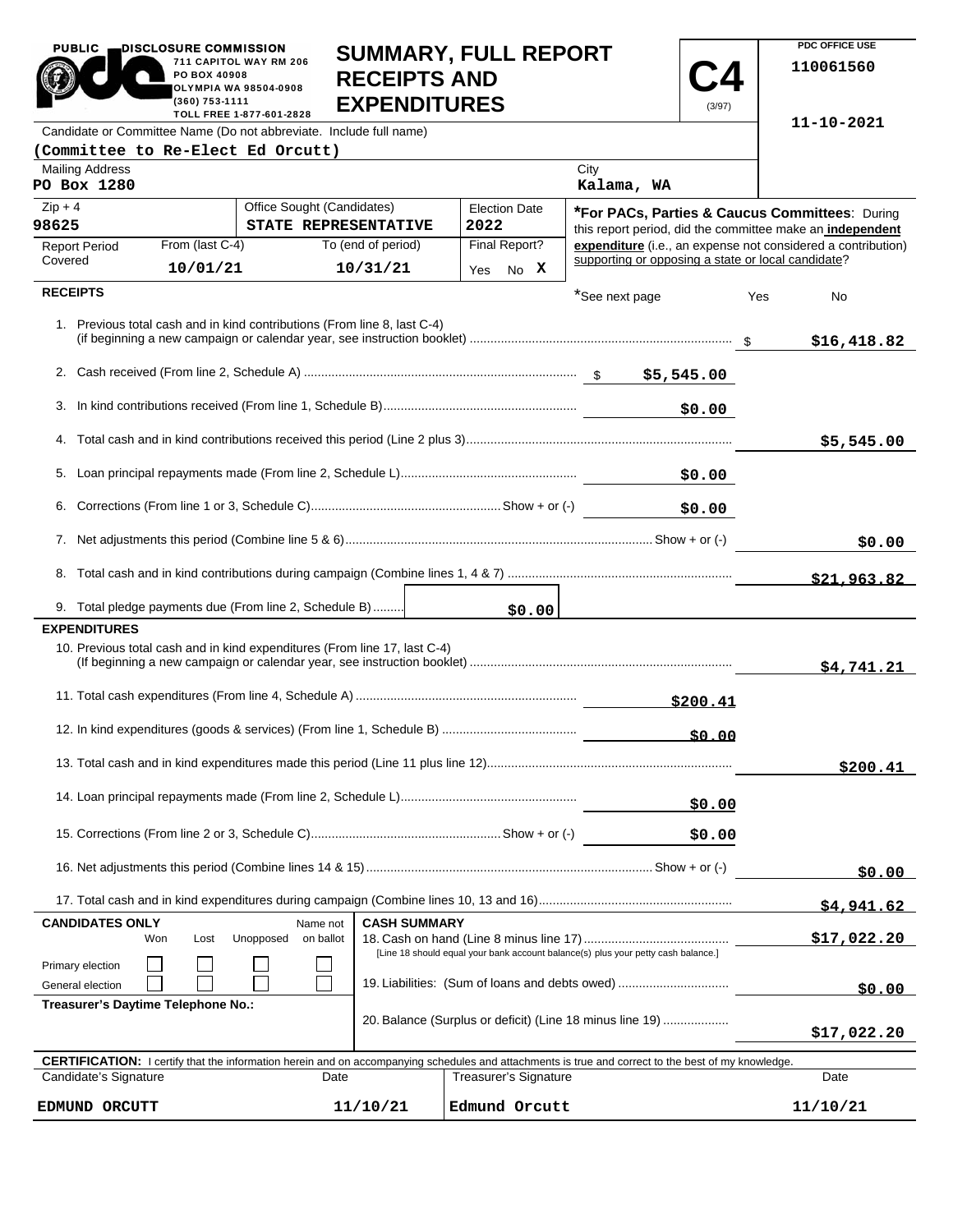| <b>PUBLIC</b><br>DISCLOSURE COMMISSION<br>PO BOX 40908<br>(360) 753-1111                                                                                                    | 711 CAPITOL WAY RM 206<br>OLYMPIA WA 98504-0908<br>TOLL FREE 1-877-601-2828 | <b>SUMMARY, FULL REPORT</b><br><b>RECEIPTS AND</b><br><b>EXPENDITURES</b> |     |                                                                                                             |                                                    | (3/97)   |                    | PDC OFFICE USE<br>110061560                                  |
|-----------------------------------------------------------------------------------------------------------------------------------------------------------------------------|-----------------------------------------------------------------------------|---------------------------------------------------------------------------|-----|-------------------------------------------------------------------------------------------------------------|----------------------------------------------------|----------|--------------------|--------------------------------------------------------------|
| Candidate or Committee Name (Do not abbreviate. Include full name)                                                                                                          |                                                                             |                                                                           |     |                                                                                                             |                                                    |          |                    | 11-10-2021                                                   |
| (Committee to Re-Elect Ed Orcutt)                                                                                                                                           |                                                                             |                                                                           |     |                                                                                                             |                                                    |          |                    |                                                              |
| <b>Mailing Address</b><br>PO Box 1280                                                                                                                                       |                                                                             |                                                                           |     |                                                                                                             | City<br>Kalama, WA                                 |          |                    |                                                              |
| Office Sought (Candidates)<br>$Zip + 4$<br><b>Election Date</b><br>98625<br>2022<br>STATE REPRESENTATIVE                                                                    |                                                                             |                                                                           |     | *For PACs, Parties & Caucus Committees: During<br>this report period, did the committee make an independent |                                                    |          |                    |                                                              |
| From (last C-4)<br><b>Report Period</b>                                                                                                                                     |                                                                             | To (end of period)                                                        |     | Final Report?                                                                                               |                                                    |          |                    | expenditure (i.e., an expense not considered a contribution) |
| Covered<br>10/01/21                                                                                                                                                         |                                                                             | 10/31/21                                                                  | Yes | No X                                                                                                        | supporting or opposing a state or local candidate? |          |                    |                                                              |
| <b>RECEIPTS</b>                                                                                                                                                             |                                                                             |                                                                           |     |                                                                                                             | *See next page                                     |          | Yes                | No                                                           |
| 1. Previous total cash and in kind contributions (From line 8, last C-4)                                                                                                    |                                                                             |                                                                           |     |                                                                                                             |                                                    |          |                    | \$16,418.82                                                  |
|                                                                                                                                                                             |                                                                             |                                                                           |     |                                                                                                             |                                                    |          |                    |                                                              |
|                                                                                                                                                                             |                                                                             |                                                                           |     |                                                                                                             |                                                    | \$0.00   |                    |                                                              |
|                                                                                                                                                                             |                                                                             |                                                                           |     |                                                                                                             |                                                    |          |                    | \$5,545.00                                                   |
|                                                                                                                                                                             |                                                                             |                                                                           |     |                                                                                                             |                                                    |          |                    |                                                              |
| \$0.00                                                                                                                                                                      |                                                                             |                                                                           |     |                                                                                                             |                                                    |          |                    |                                                              |
|                                                                                                                                                                             |                                                                             |                                                                           |     |                                                                                                             |                                                    |          | \$0.00             |                                                              |
|                                                                                                                                                                             |                                                                             |                                                                           |     |                                                                                                             |                                                    |          |                    | \$21.963.82                                                  |
| 9. Total pledge payments due (From line 2, Schedule B)                                                                                                                      |                                                                             |                                                                           |     | \$0.00                                                                                                      |                                                    |          |                    |                                                              |
| <b>EXPENDITURES</b>                                                                                                                                                         |                                                                             |                                                                           |     |                                                                                                             |                                                    |          |                    |                                                              |
| 10. Previous total cash and in kind expenditures (From line 17, last C-4)                                                                                                   |                                                                             |                                                                           |     |                                                                                                             |                                                    |          |                    | \$4,741.21                                                   |
|                                                                                                                                                                             |                                                                             |                                                                           |     |                                                                                                             |                                                    | \$200.41 |                    |                                                              |
| \$0.00                                                                                                                                                                      |                                                                             |                                                                           |     |                                                                                                             |                                                    |          |                    |                                                              |
|                                                                                                                                                                             |                                                                             |                                                                           |     |                                                                                                             |                                                    |          |                    | \$200.41                                                     |
| \$0.00                                                                                                                                                                      |                                                                             |                                                                           |     |                                                                                                             |                                                    |          |                    |                                                              |
|                                                                                                                                                                             |                                                                             |                                                                           |     |                                                                                                             |                                                    | \$0.00   |                    |                                                              |
|                                                                                                                                                                             |                                                                             |                                                                           |     |                                                                                                             |                                                    | \$0.00   |                    |                                                              |
|                                                                                                                                                                             |                                                                             |                                                                           |     |                                                                                                             |                                                    |          |                    | \$4,941.62                                                   |
| <b>CANDIDATES ONLY</b><br><b>CASH SUMMARY</b><br>Name not<br>Unopposed<br>on ballot<br>Won<br>Lost                                                                          |                                                                             |                                                                           |     |                                                                                                             |                                                    |          | <u>\$17,022.20</u> |                                                              |
| [Line 18 should equal your bank account balance(s) plus your petty cash balance.]<br>Primary election<br>19. Liabilities: (Sum of loans and debts owed)<br>General election |                                                                             |                                                                           |     |                                                                                                             |                                                    | \$0.00   |                    |                                                              |
| Treasurer's Daytime Telephone No.:<br>20. Balance (Surplus or deficit) (Line 18 minus line 19)                                                                              |                                                                             |                                                                           |     |                                                                                                             |                                                    |          | \$17,022.20        |                                                              |
| <b>CERTIFICATION:</b> I certify that the information herein and on accompanying schedules and attachments is true and correct to the best of my knowledge.                  |                                                                             |                                                                           |     |                                                                                                             |                                                    |          |                    |                                                              |
| Candidate's Signature                                                                                                                                                       | Date                                                                        |                                                                           |     | Treasurer's Signature                                                                                       |                                                    |          |                    | Date                                                         |
| EDMUND ORCUTT                                                                                                                                                               |                                                                             | 11/10/21                                                                  |     | Edmund Orcutt                                                                                               |                                                    |          |                    | 11/10/21                                                     |

**PDC OFFICE USE**